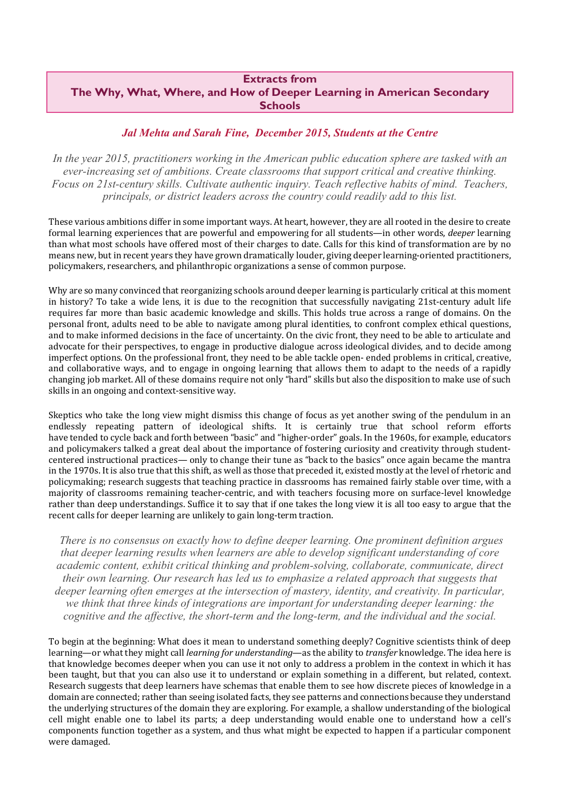## **Extracts from The Why, What, Where, and How of Deeper Learning in American Secondary Schools**

## *Jal Mehta and Sarah Fine, December 2015, Students at the Centre*

*In the year 2015, practitioners working in the American public education sphere are tasked with an ever-increasing set of ambitions. Create classrooms that support critical and creative thinking. Focus on 21st-century skills. Cultivate authentic inquiry. Teach reflective habits of mind. Teachers, principals, or district leaders across the country could readily add to this list.* 

These various ambitions differ in some important ways. At heart, however, they are all rooted in the desire to create formal learning experiences that are powerful and empowering for all students—in other words, *deeper* learning than what most schools have offered most of their charges to date. Calls for this kind of transformation are by no means new, but in recent years they have grown dramatically louder, giving deeper learning-oriented practitioners, policymakers, researchers, and philanthropic organizations a sense of common purpose.

Why are so many convinced that reorganizing schools around deeper learning is particularly critical at this moment in history? To take a wide lens, it is due to the recognition that successfully navigating  $21$ st-century adult life requires far more than basic academic knowledge and skills. This holds true across a range of domains. On the personal front, adults need to be able to navigate among plural identities, to confront complex ethical questions, and to make informed decisions in the face of uncertainty. On the civic front, they need to be able to articulate and advocate for their perspectives, to engage in productive dialogue across ideological divides, and to decide among imperfect options. On the professional front, they need to be able tackle open- ended problems in critical, creative, and collaborative ways, and to engage in ongoing learning that allows them to adapt to the needs of a rapidly changing job market. All of these domains require not only "hard" skills but also the disposition to make use of such skills in an ongoing and context-sensitive way.

Skeptics who take the long view might dismiss this change of focus as yet another swing of the pendulum in an endlessly repeating pattern of ideological shifts. It is certainly true that school reform efforts have tended to cycle back and forth between "basic" and "higher-order" goals. In the 1960s, for example, educators and policymakers talked a great deal about the importance of fostering curiosity and creativity through studentcentered instructional practices— only to change their tune as "back to the basics" once again became the mantra in the 1970s. It is also true that this shift, as well as those that preceded it, existed mostly at the level of rhetoric and policymaking; research suggests that teaching practice in classrooms has remained fairly stable over time, with a majority of classrooms remaining teacher-centric, and with teachers focusing more on surface-level knowledge rather than deep understandings. Suffice it to say that if one takes the long view it is all too easy to argue that the recent calls for deeper learning are unlikely to gain long-term traction.

*There is no consensus on exactly how to define deeper learning. One prominent definition argues that deeper learning results when learners are able to develop significant understanding of core academic content, exhibit critical thinking and problem-solving, collaborate, communicate, direct their own learning. Our research has led us to emphasize a related approach that suggests that deeper learning often emerges at the intersection of mastery, identity, and creativity. In particular, we think that three kinds of integrations are important for understanding deeper learning: the cognitive and the affective, the short-term and the long-term, and the individual and the social.* 

To begin at the beginning: What does it mean to understand something deeply? Cognitive scientists think of deep learning—or what they might call *learning for understanding—*as the ability to *transfer* knowledge. The idea here is that knowledge becomes deeper when you can use it not only to address a problem in the context in which it has been taught, but that you can also use it to understand or explain something in a different, but related, context. Research suggests that deep learners have schemas that enable them to see how discrete pieces of knowledge in a domain are connected; rather than seeing isolated facts, they see patterns and connections because they understand the underlying structures of the domain they are exploring. For example, a shallow understanding of the biological cell might enable one to label its parts; a deep understanding would enable one to understand how a cell's components function together as a system, and thus what might be expected to happen if a particular component were damaged.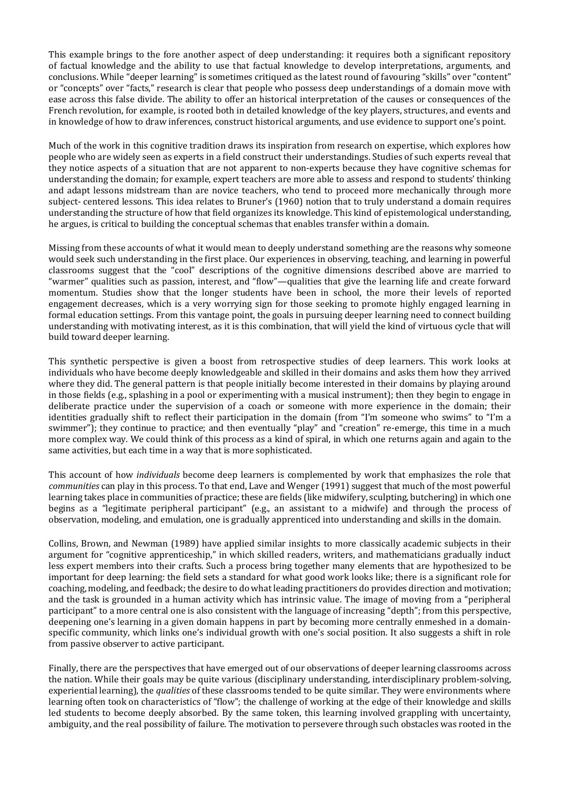This example brings to the fore another aspect of deep understanding: it requires both a significant repository of factual knowledge and the ability to use that factual knowledge to develop interpretations, arguments, and conclusions. While "deeper learning" is sometimes critiqued as the latest round of favouring "skills" over "content" or "concepts" over "facts," research is clear that people who possess deep understandings of a domain move with ease across this false divide. The ability to offer an historical interpretation of the causes or consequences of the French revolution, for example, is rooted both in detailed knowledge of the key players, structures, and events and in knowledge of how to draw inferences, construct historical arguments, and use evidence to support one's point.

Much of the work in this cognitive tradition draws its inspiration from research on expertise, which explores how people who are widely seen as experts in a field construct their understandings. Studies of such experts reveal that they notice aspects of a situation that are not apparent to non-experts because they have cognitive schemas for understanding the domain; for example, expert teachers are more able to assess and respond to students' thinking and adapt lessons midstream than are novice teachers, who tend to proceed more mechanically through more subject- centered lessons. This idea relates to Bruner's (1960) notion that to truly understand a domain requires understanding the structure of how that field organizes its knowledge. This kind of epistemological understanding, he argues, is critical to building the conceptual schemas that enables transfer within a domain.

Missing from these accounts of what it would mean to deeply understand something are the reasons why someone would seek such understanding in the first place. Our experiences in observing, teaching, and learning in powerful classrooms suggest that the "cool" descriptions of the cognitive dimensions described above are married to "warmer" qualities such as passion, interest, and "flow"—qualities that give the learning life and create forward momentum. Studies show that the longer students have been in school, the more their levels of reported engagement decreases, which is a very worrying sign for those seeking to promote highly engaged learning in formal education settings. From this vantage point, the goals in pursuing deeper learning need to connect building understanding with motivating interest, as it is this combination, that will yield the kind of virtuous cycle that will build toward deeper learning.

This synthetic perspective is given a boost from retrospective studies of deep learners. This work looks at individuals who have become deeply knowledgeable and skilled in their domains and asks them how they arrived where they did. The general pattern is that people initially become interested in their domains by playing around in those fields  $(e.g.,$  splashing in a pool or experimenting with a musical instrument); then they begin to engage in deliberate practice under the supervision of a coach or someone with more experience in the domain; their identities gradually shift to reflect their participation in the domain (from "I'm someone who swims" to "I'm a swimmer"); they continue to practice; and then eventually "play" and "creation" re-emerge, this time in a much more complex way. We could think of this process as a kind of spiral, in which one returns again and again to the same activities, but each time in a way that is more sophisticated.

This account of how *individuals* become deep learners is complemented by work that emphasizes the role that *communities* can play in this process. To that end, Lave and Wenger (1991) suggest that much of the most powerful learning takes place in communities of practice; these are fields (like midwifery, sculpting, butchering) in which one begins as a "legitimate peripheral participant" (e.g., an assistant to a midwife) and through the process of observation, modeling, and emulation, one is gradually apprenticed into understanding and skills in the domain.

Collins, Brown, and Newman (1989) have applied similar insights to more classically academic subjects in their argument for "cognitive apprenticeship," in which skilled readers, writers, and mathematicians gradually induct less expert members into their crafts. Such a process bring together many elements that are hypothesized to be important for deep learning: the field sets a standard for what good work looks like; there is a significant role for coaching, modeling, and feedback; the desire to do what leading practitioners do provides direction and motivation; and the task is grounded in a human activity which has intrinsic value. The image of moving from a "peripheral participant" to a more central one is also consistent with the language of increasing "depth"; from this perspective, deepening one's learning in a given domain happens in part by becoming more centrally enmeshed in a domainspecific community, which links one's individual growth with one's social position. It also suggests a shift in role from passive observer to active participant.

Finally, there are the perspectives that have emerged out of our observations of deeper learning classrooms across the nation. While their goals may be quite various (disciplinary understanding, interdisciplinary problem-solving, experiential learning), the *qualities* of these classrooms tended to be quite similar. They were environments where learning often took on characteristics of "flow"; the challenge of working at the edge of their knowledge and skills led students to become deeply absorbed. By the same token, this learning involved grappling with uncertainty, ambiguity, and the real possibility of failure. The motivation to persevere through such obstacles was rooted in the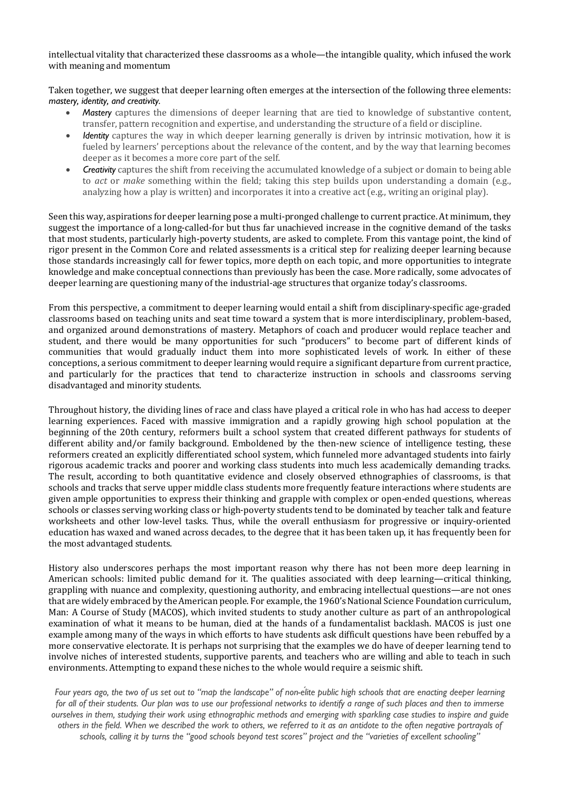intellectual vitality that characterized these classrooms as a whole—the intangible quality, which infused the work with meaning and momentum

Taken together, we suggest that deeper learning often emerges at the intersection of the following three elements: *mastery, identity, and creativity.*

- *Mastery* captures the dimensions of deeper learning that are tied to knowledge of substantive content, transfer, pattern recognition and expertise, and understanding the structure of a field or discipline.
- *Identity* captures the way in which deeper learning generally is driven by intrinsic motivation, how it is fueled by learners' perceptions about the relevance of the content, and by the way that learning becomes deeper as it becomes a more core part of the self.
- **Creativity** captures the shift from receiving the accumulated knowledge of a subject or domain to being able to *act* or *make* something within the field; taking this step builds upon understanding a domain (e.g., analyzing how a play is written) and incorporates it into a creative act (e.g., writing an original play).

Seen this way, aspirations for deeper learning pose a multi-pronged challenge to current practice. At minimum, they suggest the importance of a long-called-for but thus far unachieved increase in the cognitive demand of the tasks that most students, particularly high-poverty students, are asked to complete. From this vantage point, the kind of rigor present in the Common Core and related assessments is a critical step for realizing deeper learning because those standards increasingly call for fewer topics, more depth on each topic, and more opportunities to integrate knowledge and make conceptual connections than previously has been the case. More radically, some advocates of deeper learning are questioning many of the industrial-age structures that organize today's classrooms.

From this perspective, a commitment to deeper learning would entail a shift from disciplinary-specific age-graded classrooms based on teaching units and seat time toward a system that is more interdisciplinary, problem-based, and organized around demonstrations of mastery. Metaphors of coach and producer would replace teacher and student, and there would be many opportunities for such "producers" to become part of different kinds of communities that would gradually induct them into more sophisticated levels of work. In either of these conceptions, a serious commitment to deeper learning would require a significant departure from current practice, and particularly for the practices that tend to characterize instruction in schools and classrooms serving disadvantaged and minority students.

Throughout history, the dividing lines of race and class have played a critical role in who has had access to deeper learning experiences. Faced with massive immigration and a rapidly growing high school population at the beginning of the 20th century, reformers built a school system that created different pathways for students of different ability and/or family background. Emboldened by the then-new science of intelligence testing, these reformers created an explicitly differentiated school system, which funneled more advantaged students into fairly rigorous academic tracks and poorer and working class students into much less academically demanding tracks. The result, according to both quantitative evidence and closely observed ethnographies of classrooms, is that schools and tracks that serve upper middle class students more frequently feature interactions where students are given ample opportunities to express their thinking and grapple with complex or open-ended questions, whereas schools or classes serving working class or high-poverty students tend to be dominated by teacher talk and feature worksheets and other low-level tasks. Thus, while the overall enthusiasm for progressive or inquiry-oriented education has waxed and waned across decades, to the degree that it has been taken up, it has frequently been for the most advantaged students.

History also underscores perhaps the most important reason why there has not been more deep learning in American schools: limited public demand for it. The qualities associated with deep learning—critical thinking, grappling with nuance and complexity, questioning authority, and embracing intellectual questions—are not ones that are widely embraced by the American people. For example, the 1960's National Science Foundation curriculum, Man: A Course of Study (MACOS), which invited students to study another culture as part of an anthropological examination of what it means to be human, died at the hands of a fundamentalist backlash. MACOS is just one example among many of the ways in which efforts to have students ask difficult questions have been rebuffed by a more conservative electorate. It is perhaps not surprising that the examples we do have of deeper learning tend to involve niches of interested students, supportive parents, and teachers who are willing and able to teach in such environments. Attempting to expand these niches to the whole would require a seismic shift.

*Four years ago, the two of us set out to "map the landscape" of non-élite public high schools that are enacting deeper learning for all of their students. Our plan was to use our professional networks to identify a range of such places and then to immerse ourselves in them, studying their work using ethnographic methods and emerging with sparkling case studies to inspire and guide others in the field. When we described the work to others, we referred to it as an antidote to the often negative portrayals of schools, calling it by turns the "good schools beyond test scores" project and the "varieties of excellent schooling"*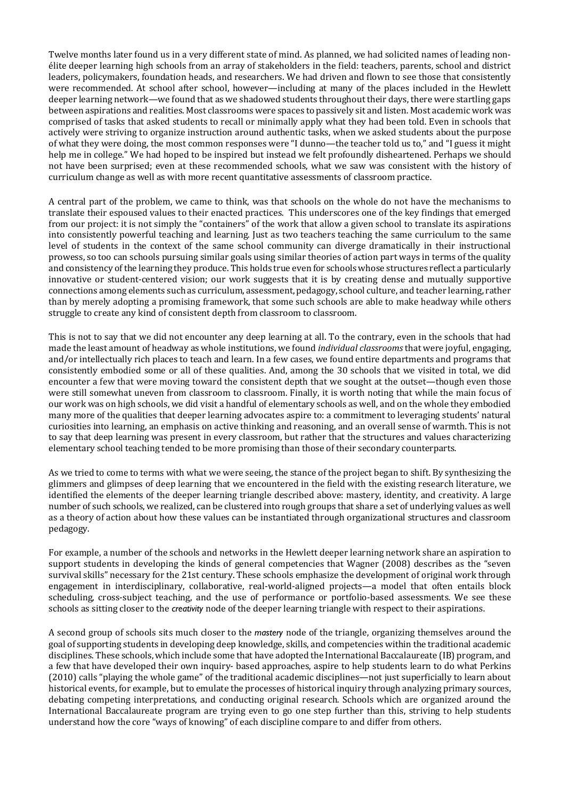Twelve months later found us in a very different state of mind. As planned, we had solicited names of leading nonélite deeper learning high schools from an array of stakeholders in the field: teachers, parents, school and district leaders, policymakers, foundation heads, and researchers. We had driven and flown to see those that consistently were recommended. At school after school, however—including at many of the places included in the Hewlett deeper learning network—we found that as we shadowed students throughout their days, there were startling gaps between aspirations and realities. Most classrooms were spaces to passively sit and listen. Most academic work was comprised of tasks that asked students to recall or minimally apply what they had been told. Even in schools that actively were striving to organize instruction around authentic tasks, when we asked students about the purpose of what they were doing, the most common responses were "I dunno-the teacher told us to," and "I guess it might help me in college." We had hoped to be inspired but instead we felt profoundly disheartened. Perhaps we should not have been surprised; even at these recommended schools, what we saw was consistent with the history of curriculum change as well as with more recent quantitative assessments of classroom practice.

A central part of the problem, we came to think, was that schools on the whole do not have the mechanisms to translate their espoused values to their enacted practices. This underscores one of the key findings that emerged from our project: it is not simply the "containers" of the work that allow a given school to translate its aspirations into consistently powerful teaching and learning. Just as two teachers teaching the same curriculum to the same level of students in the context of the same school community can diverge dramatically in their instructional prowess, so too can schools pursuing similar goals using similar theories of action part ways in terms of the quality and consistency of the learning they produce. This holds true even for schools whose structures reflect a particularly innovative or student-centered vision; our work suggests that it is by creating dense and mutually supportive connections among elements such as curriculum, assessment, pedagogy, school culture, and teacher learning, rather than by merely adopting a promising framework, that some such schools are able to make headway while others struggle to create any kind of consistent depth from classroom to classroom.

This is not to say that we did not encounter any deep learning at all. To the contrary, even in the schools that had made the least amount of headway as whole institutions, we found *individual classrooms* that were joyful, engaging, and/or intellectually rich places to teach and learn. In a few cases, we found entire departments and programs that consistently embodied some or all of these qualities. And, among the 30 schools that we visited in total, we did encounter a few that were moving toward the consistent depth that we sought at the outset—though even those were still somewhat uneven from classroom to classroom. Finally, it is worth noting that while the main focus of our work was on high schools, we did visit a handful of elementary schools as well, and on the whole they embodied many more of the qualities that deeper learning advocates aspire to: a commitment to leveraging students' natural curiosities into learning, an emphasis on active thinking and reasoning, and an overall sense of warmth. This is not to say that deep learning was present in every classroom, but rather that the structures and values characterizing elementary school teaching tended to be more promising than those of their secondary counterparts.

As we tried to come to terms with what we were seeing, the stance of the project began to shift. By synthesizing the glimmers and glimpses of deep learning that we encountered in the field with the existing research literature, we identified the elements of the deeper learning triangle described above: mastery, identity, and creativity. A large number of such schools, we realized, can be clustered into rough groups that share a set of underlying values as well as a theory of action about how these values can be instantiated through organizational structures and classroom pedagogy. 

For example, a number of the schools and networks in the Hewlett deeper learning network share an aspiration to support students in developing the kinds of general competencies that Wagner (2008) describes as the "seven survival skills" necessary for the 21st century. These schools emphasize the development of original work through engagement in interdisciplinary, collaborative, real-world-aligned projects—a model that often entails block scheduling, cross-subject teaching, and the use of performance or portfolio-based assessments. We see these schools as sitting closer to the *creativity* node of the deeper learning triangle with respect to their aspirations.

A second group of schools sits much closer to the mastery node of the triangle, organizing themselves around the goal of supporting students in developing deep knowledge, skills, and competencies within the traditional academic disciplines. These schools, which include some that have adopted the International Baccalaureate (IB) program, and a few that have developed their own inquiry- based approaches, aspire to help students learn to do what Perkins (2010) calls "playing the whole game" of the traditional academic disciplines—not just superficially to learn about historical events, for example, but to emulate the processes of historical inquiry through analyzing primary sources, debating competing interpretations, and conducting original research. Schools which are organized around the International Baccalaureate program are trying even to go one step further than this, striving to help students understand how the core "ways of knowing" of each discipline compare to and differ from others.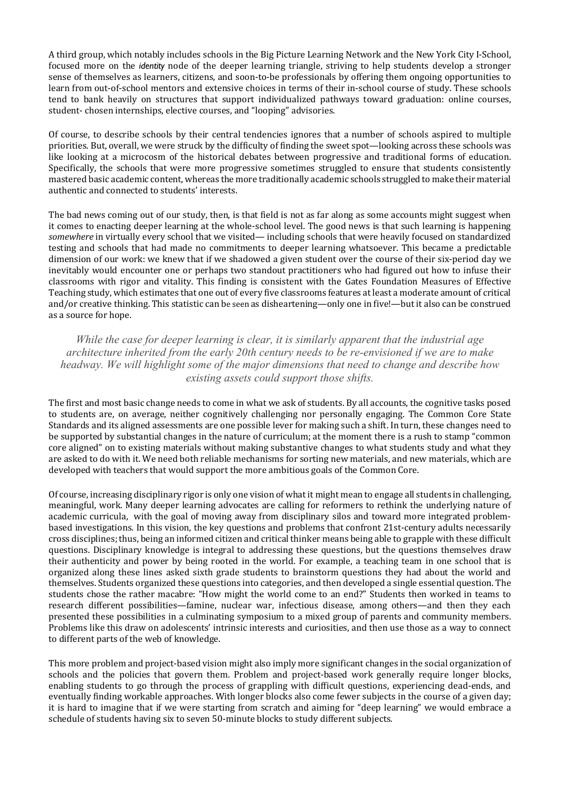A third group, which notably includes schools in the Big Picture Learning Network and the New York City I-School, focused more on the *identity* node of the deeper learning triangle, striving to help students develop a stronger sense of themselves as learners, citizens, and soon-to-be professionals by offering them ongoing opportunities to learn from out-of-school mentors and extensive choices in terms of their in-school course of study. These schools tend to bank heavily on structures that support individualized pathways toward graduation: online courses, student-chosen internships, elective courses, and "looping" advisories.

Of course, to describe schools by their central tendencies ignores that a number of schools aspired to multiple priorities. But, overall, we were struck by the difficulty of finding the sweet spot—looking across these schools was like looking at a microcosm of the historical debates between progressive and traditional forms of education. Specifically, the schools that were more progressive sometimes struggled to ensure that students consistently mastered basic academic content, whereas the more traditionally academic schools struggled to make their material authentic and connected to students' interests.

The bad news coming out of our study, then, is that field is not as far along as some accounts might suggest when it comes to enacting deeper learning at the whole-school level. The good news is that such learning is happening somewhere in virtually every school that we visited— including schools that were heavily focused on standardized testing and schools that had made no commitments to deeper learning whatsoever. This became a predictable dimension of our work: we knew that if we shadowed a given student over the course of their six-period day we inevitably would encounter one or perhaps two standout practitioners who had figured out how to infuse their classrooms with rigor and vitality. This finding is consistent with the Gates Foundation Measures of Effective Teaching study, which estimates that one out of every five classrooms features at least a moderate amount of critical and/or creative thinking. This statistic can be seen as disheartening—only one in five!—but it also can be construed as a source for hope.

*While the case for deeper learning is clear, it is similarly apparent that the industrial age architecture inherited from the early 20th century needs to be re-envisioned if we are to make headway. We will highlight some of the major dimensions that need to change and describe how existing assets could support those shifts.* 

The first and most basic change needs to come in what we ask of students. By all accounts, the cognitive tasks posed to students are, on average, neither cognitively challenging nor personally engaging. The Common Core State Standards and its aligned assessments are one possible lever for making such a shift. In turn, these changes need to be supported by substantial changes in the nature of curriculum; at the moment there is a rush to stamp "common core aligned" on to existing materials without making substantive changes to what students study and what they are asked to do with it. We need both reliable mechanisms for sorting new materials, and new materials, which are developed with teachers that would support the more ambitious goals of the Common Core.

Of course, increasing disciplinary rigor is only one vision of what it might mean to engage all students in challenging, meaningful, work. Many deeper learning advocates are calling for reformers to rethink the underlying nature of academic curricula, with the goal of moving away from disciplinary silos and toward more integrated problembased investigations. In this vision, the key questions and problems that confront 21st-century adults necessarily cross disciplines; thus, being an informed citizen and critical thinker means being able to grapple with these difficult questions. Disciplinary knowledge is integral to addressing these questions, but the questions themselves draw their authenticity and power by being rooted in the world. For example, a teaching team in one school that is organized along these lines asked sixth grade students to brainstorm questions they had about the world and themselves. Students organized these questions into categories, and then developed a single essential question. The students chose the rather macabre: "How might the world come to an end?" Students then worked in teams to research different possibilities—famine, nuclear war, infectious disease, among others—and then they each presented these possibilities in a culminating symposium to a mixed group of parents and community members. Problems like this draw on adolescents' intrinsic interests and curiosities, and then use those as a way to connect to different parts of the web of knowledge.

This more problem and project-based vision might also imply more significant changes in the social organization of schools and the policies that govern them. Problem and project-based work generally require longer blocks, enabling students to go through the process of grappling with difficult questions, experiencing dead-ends, and eventually finding workable approaches. With longer blocks also come fewer subjects in the course of a given day; it is hard to imagine that if we were starting from scratch and aiming for "deep learning" we would embrace a schedule of students having six to seven 50-minute blocks to study different subjects.